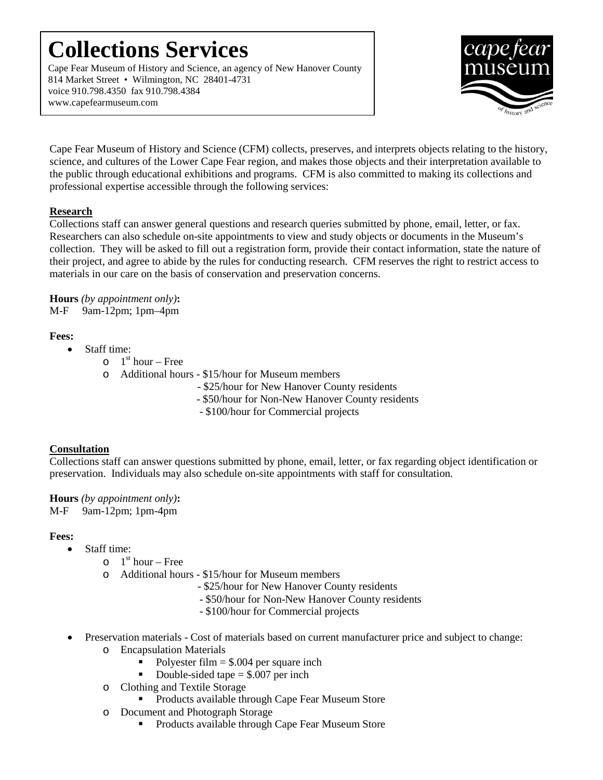## **Collections Services**

Cape Fear Museum of History and Science, an agency of New Hanover County 814 Market Street • Wilmington, NC 28401-4731 voice 910.798.4350 fax 910.798.4384 www.capefearmuseum.com



Cape Fear Museum of History and Science (CFM) collects, preserves, and interprets objects relating to the history, science, and cultures of the Lower Cape Fear region, and makes those objects and their interpretation available to the public through educational exhibitions and programs. CFM is also committed to making its collections and professional expertise accessible through the following services:

### **Research**

Collections staff can answer general questions and research queries submitted by phone, email, letter, or fax. Researchers can also schedule on-site appointments to view and study objects or documents in the Museum's collection. They will be asked to fill out a registration form, provide their contact information, state the nature of their project, and agree to abide by the rules for conducting research. CFM reserves the right to restrict access to materials in our care on the basis of conservation and preservation concerns.

**Hours** *(by appointment only)***:** M-F 9am-12pm; 1pm–4pm

### **Fees:**

- Staff time:
	- $\circ$  1<sup>st</sup> hour Free
	- o Additional hours \$15/hour for Museum members
		- \$25/hour for New Hanover County residents
		- \$50/hour for Non-New Hanover County residents
		- \$100/hour for Commercial projects

### **Consultation**

Collections staff can answer questions submitted by phone, email, letter, or fax regarding object identification or preservation. Individuals may also schedule on-site appointments with staff for consultation.

**Hours** *(by appointment only)***:** M-F 9am-12pm; 1pm-4pm

### **Fees:**

- Staff time:
	- $\circ$  1<sup>st</sup> hour Free
	- o Additional hours \$15/hour for Museum members
		- \$25/hour for New Hanover County residents
		- \$50/hour for Non-New Hanover County residents
		- \$100/hour for Commercial projects
- Preservation materials Cost of materials based on current manufacturer price and subject to change: o Encapsulation Materials
	- Polyester film  $=$  \$.004 per square inch
	- Double-sided tape  $=$  \$.007 per inch
	- o Clothing and Textile Storage
		- **Products available through Cape Fear Museum Store**
	- o Document and Photograph Storage
		- **Products available through Cape Fear Museum Store**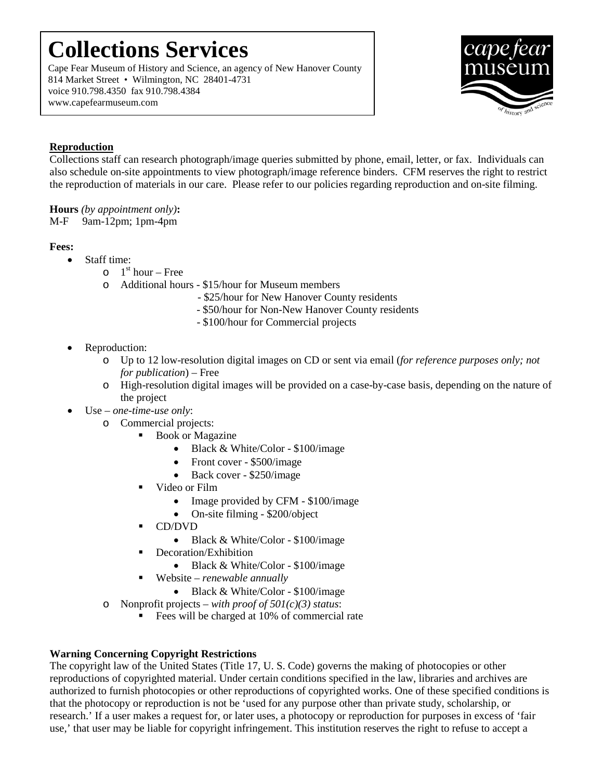# **Collections Services**

Cape Fear Museum of History and Science, an agency of New Hanover County 814 Market Street • Wilmington, NC 28401-4731 voice 910.798.4350 fax 910.798.4384 www.capefearmuseum.com



### **Reproduction**

Collections staff can research photograph/image queries submitted by phone, email, letter, or fax. Individuals can also schedule on-site appointments to view photograph/image reference binders. CFM reserves the right to restrict the reproduction of materials in our care. Please refer to our policies regarding reproduction and on-site filming.

**Hours** *(by appointment only)***:** M-F 9am-12pm; 1pm-4pm

#### **Fees:**

- Staff time:
	- $\circ$  1<sup>st</sup> hour Free
	- o Additional hours \$15/hour for Museum members
		- \$25/hour for New Hanover County residents
		- \$50/hour for Non-New Hanover County residents
		- \$100/hour for Commercial projects
- Reproduction:
	- o Up to 12 low-resolution digital images on CD or sent via email (*for reference purposes only; not for publication*) – Free
	- o High-resolution digital images will be provided on a case-by-case basis, depending on the nature of the project
- Use *one-time-use only*:
	- o Commercial projects:
		- Book or Magazine
			- Black & White/Color \$100/image
			- Front cover \$500/image
			- Back cover \$250/image
		- Video or Film
			- Image provided by CFM \$100/image
			- On-site filming \$200/object
		- CD/DVD
			- Black & White/Color \$100/image
		- **Decoration/Exhibition** 
			- Black & White/Color \$100/image
		- Website *renewable annually*
			- Black & White/Color \$100/image
	- o Nonprofit projects *with proof of 501(c)(3) status*:
		- Fees will be charged at 10% of commercial rate

### **Warning Concerning Copyright Restrictions**

The copyright law of the United States (Title 17, U. S. Code) governs the making of photocopies or other reproductions of copyrighted material. Under certain conditions specified in the law, libraries and archives are authorized to furnish photocopies or other reproductions of copyrighted works. One of these specified conditions is that the photocopy or reproduction is not be 'used for any purpose other than private study, scholarship, or research.' If a user makes a request for, or later uses, a photocopy or reproduction for purposes in excess of 'fair use,' that user may be liable for copyright infringement. This institution reserves the right to refuse to accept a